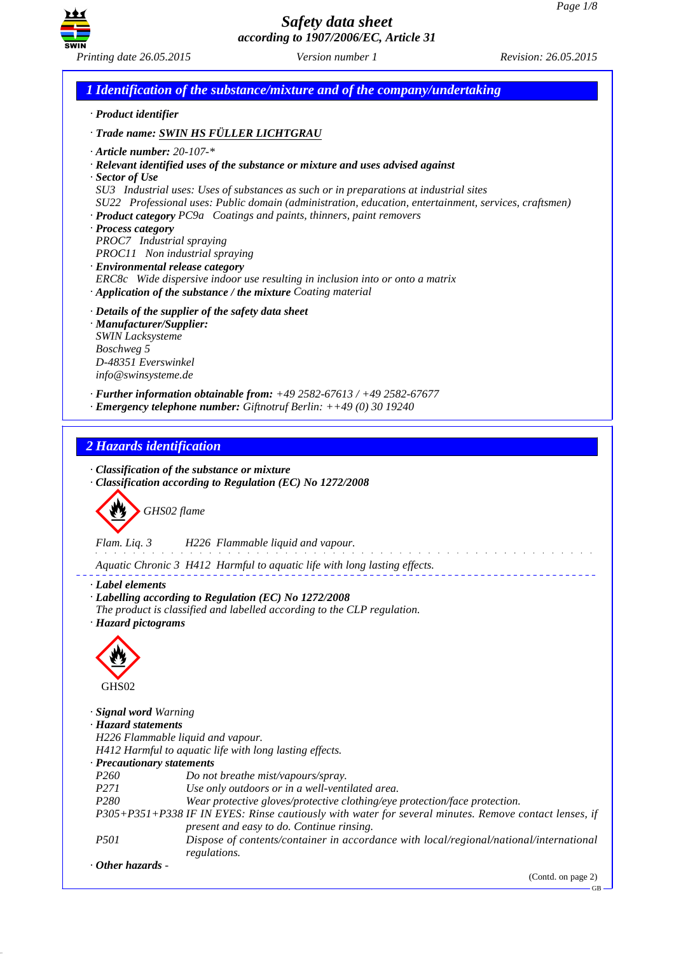

*1 Identification of the substance/mixture and of the company/undertaking · Product identifier · Trade name: SWIN HS FÜLLER LICHTGRAU · Article number: 20-107-\* · Relevant identified uses of the substance or mixture and uses advised against · Sector of Use SU3 Industrial uses: Uses of substances as such or in preparations at industrial sites SU22 Professional uses: Public domain (administration, education, entertainment, services, craftsmen) · Product category PC9a Coatings and paints, thinners, paint removers · Process category PROC7 Industrial spraying PROC11 Non industrial spraying · Environmental release category ERC8c Wide dispersive indoor use resulting in inclusion into or onto a matrix · Application of the substance / the mixture Coating material · Details of the supplier of the safety data sheet · Manufacturer/Supplier: SWIN Lacksysteme Boschweg 5 D-48351 Everswinkel info@swinsysteme.de · Further information obtainable from: +49 2582-67613 / +49 2582-67677 · Emergency telephone number: Giftnotruf Berlin: ++49 (0) 30 19240 2 Hazards identification · Classification of the substance or mixture · Classification according to Regulation (EC) No 1272/2008* d~*GHS02 flame Flam. Liq. 3 H226 Flammable liquid and vapour.* and the component of the components *Aquatic Chronic 3 H412 Harmful to aquatic life with long lasting effects. · Label elements · Labelling according to Regulation (EC) No 1272/2008 The product is classified and labelled according to the CLP regulation. · Hazard pictograms* < GHS02 *· Signal word Warning · Hazard statements H226 Flammable liquid and vapour. H412 Harmful to aquatic life with long lasting effects. · Precautionary statements P260 Do not breathe mist/vapours/spray. P271 Use only outdoors or in a well-ventilated area. P280 Wear protective gloves/protective clothing/eye protection/face protection. P305+P351+P338 IF IN EYES: Rinse cautiously with water for several minutes. Remove contact lenses, if present and easy to do. Continue rinsing. P501 Dispose of contents/container in accordance with local/regional/national/international regulations. · Other hazards -*  (Contd. on page 2)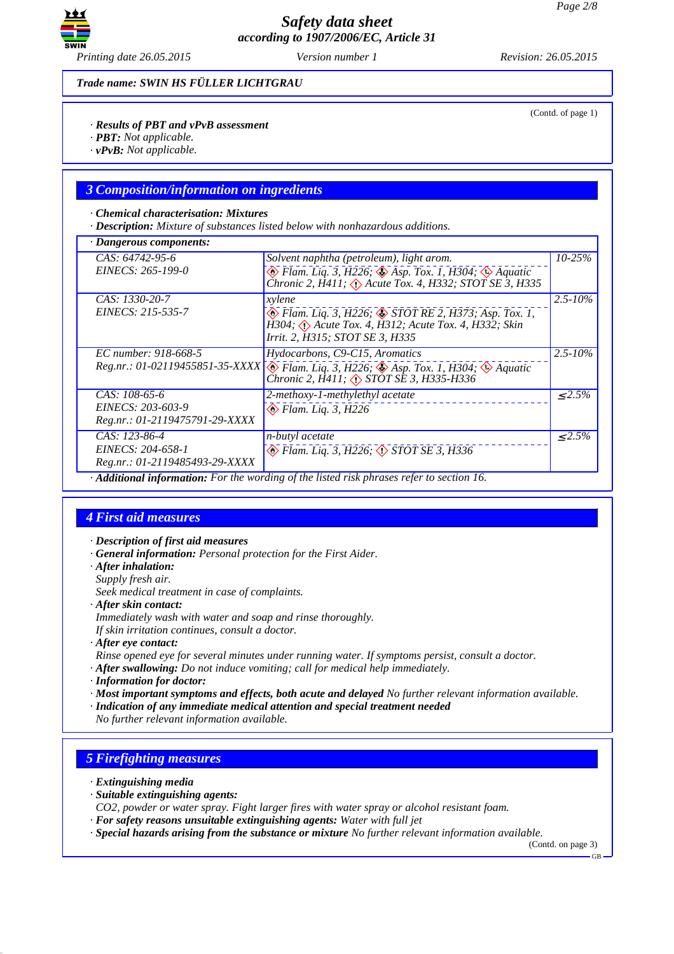

(Contd. of page 1)

*Trade name: SWIN HS FÜLLER LICHTGRAU*

*· Results of PBT and vPvB assessment*

- *· PBT: Not applicable.*
- *· vPvB: Not applicable.*

### *3 Composition/information on ingredients*

#### *· Chemical characterisation: Mixtures*

*· Description: Mixture of substances listed below with nonhazardous additions.*

| $\cdot$ Dangerous components:  |                                                                                                                                                                           |              |
|--------------------------------|---------------------------------------------------------------------------------------------------------------------------------------------------------------------------|--------------|
| CAS: 64742-95-6                | Solvent naphtha (petroleum), light arom.                                                                                                                                  |              |
| EINECS: 265-199-0              | $\otimes$ Flam. Liq. 3, H226; $\otimes$ Asp. Tox. 1, H304; $\otimes$ Aquatic<br>Chronic 2, H411; A Acute Tox. 4, H332; STOT SE 3, H335                                    |              |
| CAS: 1330-20-7                 | xylene                                                                                                                                                                    | $2.5 - 10\%$ |
| EINECS: 215-535-7              | $\otimes$ Flam. Liq. 3, H226; $\otimes$ STOT RE 2, H373; Asp. Tox. 1,<br>H304; $\Diamond$ Acute Tox. 4, H312; Acute Tox. 4, H332; Skin<br>Irrit. 2, H315; STOT SE 3, H335 |              |
| EC number: 918-668-5           | Hydocarbons, C9-C15, Aromatics                                                                                                                                            | $2.5 - 10\%$ |
|                                | Reg.nr.: 01-02119455851-35-XXXX + Flam. Liq. 3, H226; Asp. Tox. 1, H304; Aquatic<br>Chronic 2, H411; <> STOT SE 3, H335-H336                                              |              |
| $CAS: 108-65-6$                | 2-methoxy-1-methylethyl acetate                                                                                                                                           | $< 2.5\%$    |
| EINECS: 203-603-9              | $\otimes$ Flam. Lig. 3, H226                                                                                                                                              |              |
| Reg.nr.: 01-2119475791-29-XXXX |                                                                                                                                                                           |              |
| CAS: 123-86-4                  | n-butyl acetate                                                                                                                                                           | $\leq 2.5\%$ |
| EINECS: 204-658-1              | $\otimes$ Flam. Lig. 3, H226; $\otimes$ STOT SE 3, H336                                                                                                                   |              |
| Reg.nr.: 01-2119485493-29-XXXX |                                                                                                                                                                           |              |
|                                | Additional information: For the wording of the listed risk phrases refer to section 16.                                                                                   |              |

### *4 First aid measures*

- *· Description of first aid measures*
- *· General information: Personal protection for the First Aider.*
- *· After inhalation:*
- *Supply fresh air.*
- *Seek medical treatment in case of complaints.*
- *· After skin contact:*
- *Immediately wash with water and soap and rinse thoroughly.*
- *If skin irritation continues, consult a doctor.*
- *· After eye contact:*
- *Rinse opened eye for several minutes under running water. If symptoms persist, consult a doctor.*
- *· After swallowing: Do not induce vomiting; call for medical help immediately.*
- *· Information for doctor:*
- *· Most important symptoms and effects, both acute and delayed No further relevant information available.*
- *· Indication of any immediate medical attention and special treatment needed*
- *No further relevant information available.*

## *5 Firefighting measures*

- *· Extinguishing media*
- *· Suitable extinguishing agents:*
- *CO2, powder or water spray. Fight larger fires with water spray or alcohol resistant foam.*
- *· For safety reasons unsuitable extinguishing agents: Water with full jet*
- *· Special hazards arising from the substance or mixture No further relevant information available.*

(Contd. on page 3)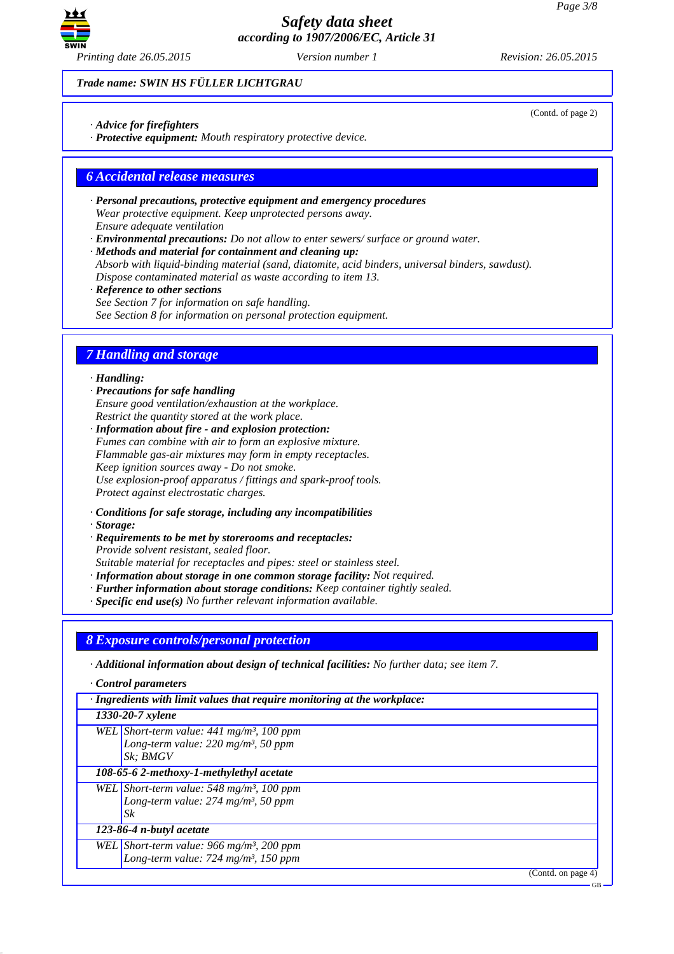

*Trade name: SWIN HS FÜLLER LICHTGRAU*

*· Advice for firefighters*

*· Protective equipment: Mouth respiratory protective device.*

### *6 Accidental release measures*

- *· Personal precautions, protective equipment and emergency procedures Wear protective equipment. Keep unprotected persons away. Ensure adequate ventilation*
- *· Environmental precautions: Do not allow to enter sewers/ surface or ground water.*

*· Methods and material for containment and cleaning up: Absorb with liquid-binding material (sand, diatomite, acid binders, universal binders, sawdust). Dispose contaminated material as waste according to item 13.*

*· Reference to other sections See Section 7 for information on safe handling.*

*See Section 8 for information on personal protection equipment.*

## *7 Handling and storage*

#### *· Handling:*

*· Precautions for safe handling Ensure good ventilation/exhaustion at the workplace. Restrict the quantity stored at the work place.*

*· Information about fire - and explosion protection: Fumes can combine with air to form an explosive mixture. Flammable gas-air mixtures may form in empty receptacles. Keep ignition sources away - Do not smoke. Use explosion-proof apparatus / fittings and spark-proof tools. Protect against electrostatic charges.*

*· Conditions for safe storage, including any incompatibilities*

*· Storage:*

- *· Requirements to be met by storerooms and receptacles: Provide solvent resistant, sealed floor. Suitable material for receptacles and pipes: steel or stainless steel.*
- *· Information about storage in one common storage facility: Not required.*
- *· Further information about storage conditions: Keep container tightly sealed.*
- *· Specific end use(s) No further relevant information available.*

*8 Exposure controls/personal protection*

*· Additional information about design of technical facilities: No further data; see item 7.*

*· Control parameters*

*· Ingredients with limit values that require monitoring at the workplace:*

*1330-20-7 xylene*

*WEL Short-term value: 441 mg/m³, 100 ppm Long-term value: 220 mg/m³, 50 ppm Sk; BMGV*

*108-65-6 2-methoxy-1-methylethyl acetate*

*WEL Short-term value: 548 mg/m³, 100 ppm Long-term value: 274 mg/m³, 50 ppm Sk*

#### *123-86-4 n-butyl acetate*

*WEL Short-term value: 966 mg/m³, 200 ppm Long-term value: 724 mg/m³, 150 ppm*

(Contd. on page 4)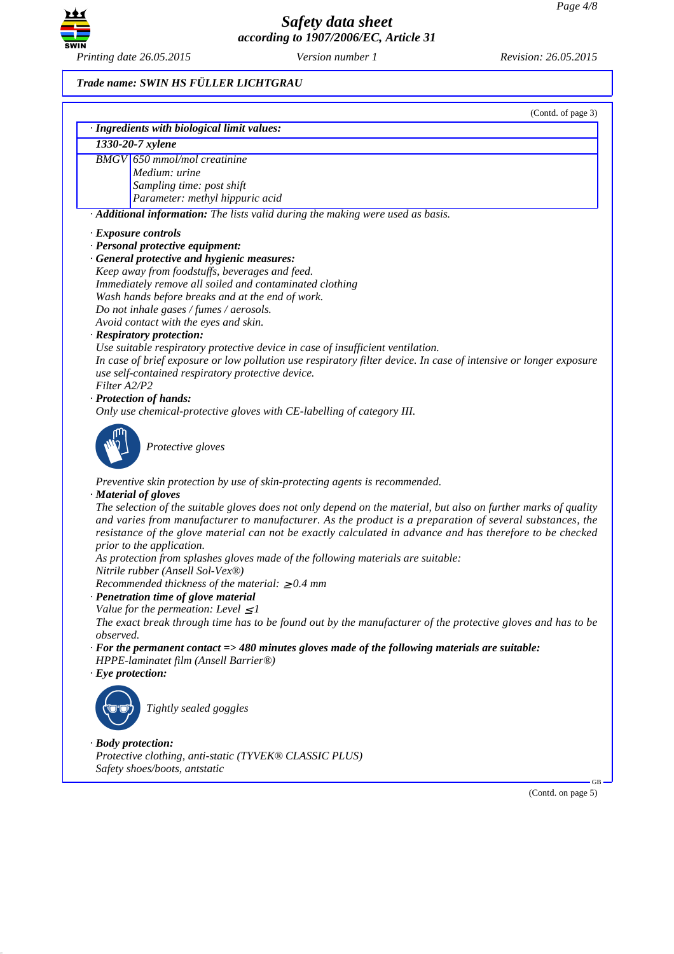

# *Trade name: SWIN HS FÜLLER LICHTGRAU*

|              | (Contd. of page 3)<br>· Ingredients with biological limit values:                                                 |
|--------------|-------------------------------------------------------------------------------------------------------------------|
|              | 1330-20-7 xylene                                                                                                  |
|              | <b>BMGV</b> 650 mmol/mol creatinine                                                                               |
|              | Medium: urine                                                                                                     |
|              | Sampling time: post shift                                                                                         |
|              | Parameter: methyl hippuric acid                                                                                   |
|              | · Additional information: The lists valid during the making were used as basis.                                   |
|              | · Exposure controls                                                                                               |
|              | · Personal protective equipment:                                                                                  |
|              | · General protective and hygienic measures:                                                                       |
|              | Keep away from foodstuffs, beverages and feed.                                                                    |
|              | Immediately remove all soiled and contaminated clothing                                                           |
|              | Wash hands before breaks and at the end of work.                                                                  |
|              | Do not inhale gases / fumes / aerosols.                                                                           |
|              | Avoid contact with the eyes and skin.                                                                             |
|              | · Respiratory protection:                                                                                         |
|              | Use suitable respiratory protective device in case of insufficient ventilation.                                   |
|              | In case of brief exposure or low pollution use respiratory filter device. In case of intensive or longer exposure |
|              | use self-contained respiratory protective device.                                                                 |
| Filter A2/P2 |                                                                                                                   |
|              | · Protection of hands:<br>Only use chemical-protective gloves with CE-labelling of category III.                  |
|              |                                                                                                                   |
|              |                                                                                                                   |
|              | Protective gloves                                                                                                 |
|              |                                                                                                                   |
|              | Preventive skin protection by use of skin-protecting agents is recommended.                                       |
|              | · Material of gloves                                                                                              |
|              | The selection of the suitable gloves does not only depend on the material, but also on further marks of quality   |
|              | and varies from manufacturer to manufacturer. As the product is a preparation of several substances, the          |
|              | resistance of the glove material can not be exactly calculated in advance and has therefore to be checked         |
|              | prior to the application.                                                                                         |
|              | As protection from splashes gloves made of the following materials are suitable:                                  |
|              | Nitrile rubber (Ansell Sol-Vex®)                                                                                  |
|              | Recommended thickness of the material: $\geq 0.4$ mm                                                              |
|              | · Penetration time of glove material                                                                              |
|              | Value for the permeation: Level $\leq 1$                                                                          |
| observed.    | The exact break through time has to be found out by the manufacturer of the protective gloves and has to be       |
|              | $\cdot$ For the permanent contact => 480 minutes gloves made of the following materials are suitable:             |
|              | HPPE-laminatet film (Ansell Barrier®)                                                                             |
|              | $\cdot$ Eye protection:                                                                                           |
|              |                                                                                                                   |
|              |                                                                                                                   |
|              | Tightly sealed goggles                                                                                            |
|              |                                                                                                                   |
|              | · Body protection:                                                                                                |
|              | Protective clothing, anti-static (TYVEK® CLASSIC PLUS)                                                            |
|              | Safety shoes/boots, antstatic                                                                                     |
|              |                                                                                                                   |
|              | (Contd. on page 5)                                                                                                |
|              |                                                                                                                   |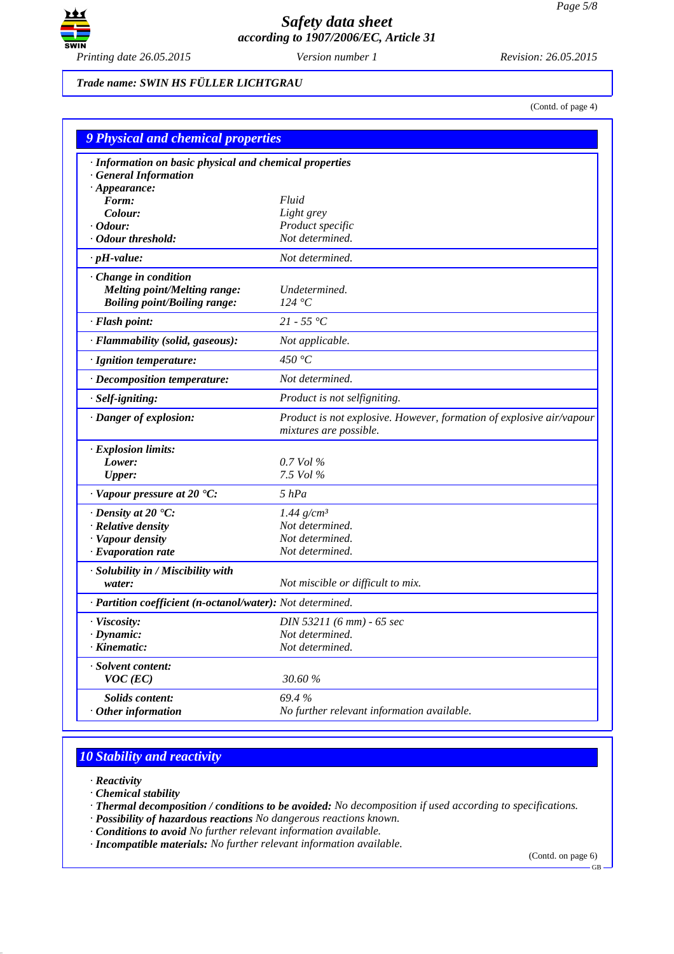

*Trade name: SWIN HS FÜLLER LICHTGRAU*

(Contd. of page 4)

| <b>9 Physical and chemical properties</b>                  |                                                                                                |  |
|------------------------------------------------------------|------------------------------------------------------------------------------------------------|--|
| · Information on basic physical and chemical properties    |                                                                                                |  |
| <b>General Information</b>                                 |                                                                                                |  |
| $\cdot$ Appearance:                                        |                                                                                                |  |
| Form:                                                      | Fluid                                                                                          |  |
| Colour:                                                    | Light grey                                                                                     |  |
| · Odour:                                                   | Product specific                                                                               |  |
| · Odour threshold:                                         | Not determined.                                                                                |  |
| $\cdot$ pH-value:                                          | Not determined.                                                                                |  |
| Change in condition                                        |                                                                                                |  |
| <b>Melting point/Melting range:</b>                        | Undetermined.                                                                                  |  |
| <b>Boiling point/Boiling range:</b>                        | 124 °C                                                                                         |  |
| $\cdot$ Flash point:                                       | $21 - 55 °C$                                                                                   |  |
| · Flammability (solid, gaseous):                           | Not applicable.                                                                                |  |
| · Ignition temperature:                                    | 450 °C                                                                                         |  |
| $\cdot$ Decomposition temperature:                         | Not determined.                                                                                |  |
| · Self-igniting:                                           | Product is not selfigniting.                                                                   |  |
| · Danger of explosion:                                     | Product is not explosive. However, formation of explosive air/vapour<br>mixtures are possible. |  |
| · Explosion limits:                                        |                                                                                                |  |
| Lower:                                                     | 0.7 Vol %                                                                                      |  |
| <b>Upper:</b>                                              | 7.5 Vol %                                                                                      |  |
| $\cdot$ Vapour pressure at 20 $\cdot$ C:                   | $5$ $hPa$                                                                                      |  |
| $\cdot$ Density at 20 $\textdegree$ C:                     | $1.44$ g/cm <sup>3</sup>                                                                       |  |
| · Relative density                                         | Not determined.                                                                                |  |
| · Vapour density                                           | Not determined.                                                                                |  |
| $\cdot$ Evaporation rate                                   | Not determined.                                                                                |  |
| · Solubility in / Miscibility with                         |                                                                                                |  |
| water:                                                     | Not miscible or difficult to mix.                                                              |  |
| · Partition coefficient (n-octanol/water): Not determined. |                                                                                                |  |
| · Viscosity:                                               | DIN 53211 (6 mm) - 65 sec                                                                      |  |
| $\cdot$ Dynamic:                                           | Not determined.                                                                                |  |
| $\cdot$ Kinematic:                                         | Not determined.                                                                                |  |
| · Solvent content:<br>$VOC$ (EC)                           | 30.60%                                                                                         |  |
| <b>Solids content:</b>                                     | 69.4%                                                                                          |  |
| $·$ Other information                                      | No further relevant information available.                                                     |  |

# *10 Stability and reactivity*

*· Reactivity*

*· Chemical stability*

*· Thermal decomposition / conditions to be avoided: No decomposition if used according to specifications.*

*· Possibility of hazardous reactions No dangerous reactions known.*

*· Conditions to avoid No further relevant information available.*

*· Incompatible materials: No further relevant information available.*

(Contd. on page 6)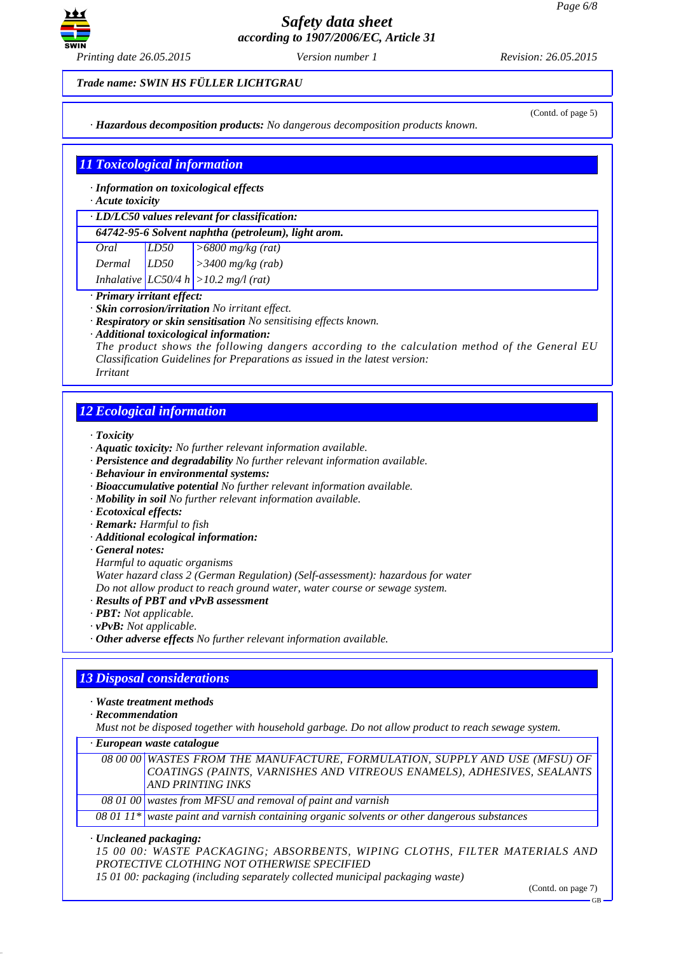

*Printing date 26.05.2015 Version number 1 Revision: 26.05.2015*

*Trade name: SWIN HS FÜLLER LICHTGRAU*

*· Hazardous decomposition products: No dangerous decomposition products known.*

### (Contd. of page 5)

## *11 Toxicological information*

*· Information on toxicological effects*

### *· Acute toxicity*

*· LD/LC50 values relevant for classification:*

| Oral   | LD50 | $\vert$ >6800 mg/kg (rat)                 |
|--------|------|-------------------------------------------|
| Dermal | LD50 | $\vert$ > 3400 mg/kg (rab)                |
|        |      | Inhalative $ LCS0/4 h  > 10.2 mg/l$ (rat) |

# *· Primary irritant effect:*

- *· Skin corrosion/irritation No irritant effect.*
- *· Respiratory or skin sensitisation No sensitising effects known.*
- *· Additional toxicological information:*

*The product shows the following dangers according to the calculation method of the General EU Classification Guidelines for Preparations as issued in the latest version: Irritant*

# *12 Ecological information*

*· Toxicity*

- *· Aquatic toxicity: No further relevant information available.*
- *· Persistence and degradability No further relevant information available.*
- *· Behaviour in environmental systems:*
- *· Bioaccumulative potential No further relevant information available.*
- *· Mobility in soil No further relevant information available.*
- *· Ecotoxical effects:*
- *· Remark: Harmful to fish*
- *· Additional ecological information:*
- *· General notes:*
- *Harmful to aquatic organisms*

*Water hazard class 2 (German Regulation) (Self-assessment): hazardous for water*

*Do not allow product to reach ground water, water course or sewage system.*

- *· Results of PBT and vPvB assessment*
- *· PBT: Not applicable.*
- *· vPvB: Not applicable.*
- *· Other adverse effects No further relevant information available.*

# *13 Disposal considerations*

*· Waste treatment methods*

*· Recommendation*

*Must not be disposed together with household garbage. Do not allow product to reach sewage system.*

*· European waste catalogue*

| 08 00 00 WASTES FROM THE MANUFACTURE, FORMULATION, SUPPLY AND USE (MFSU) OF |
|-----------------------------------------------------------------------------|
| COATINGS (PAINTS, VARNISHES AND VITREOUS ENAMELS), ADHESIVES, SEALANTS      |
| <b>AND PRINTING INKS</b>                                                    |
| $\alpha$ 08.01.00 wastes from MFSU and removal of paint and varnish         |

*08 01 00 wastes from MFSU and removal of paint and varnish*

*08 01 11\* waste paint and varnish containing organic solvents or other dangerous substances*

*· Uncleaned packaging:*

*15 00 00: WASTE PACKAGING; ABSORBENTS, WIPING CLOTHS, FILTER MATERIALS AND PROTECTIVE CLOTHING NOT OTHERWISE SPECIFIED*

*15 01 00: packaging (including separately collected municipal packaging waste)*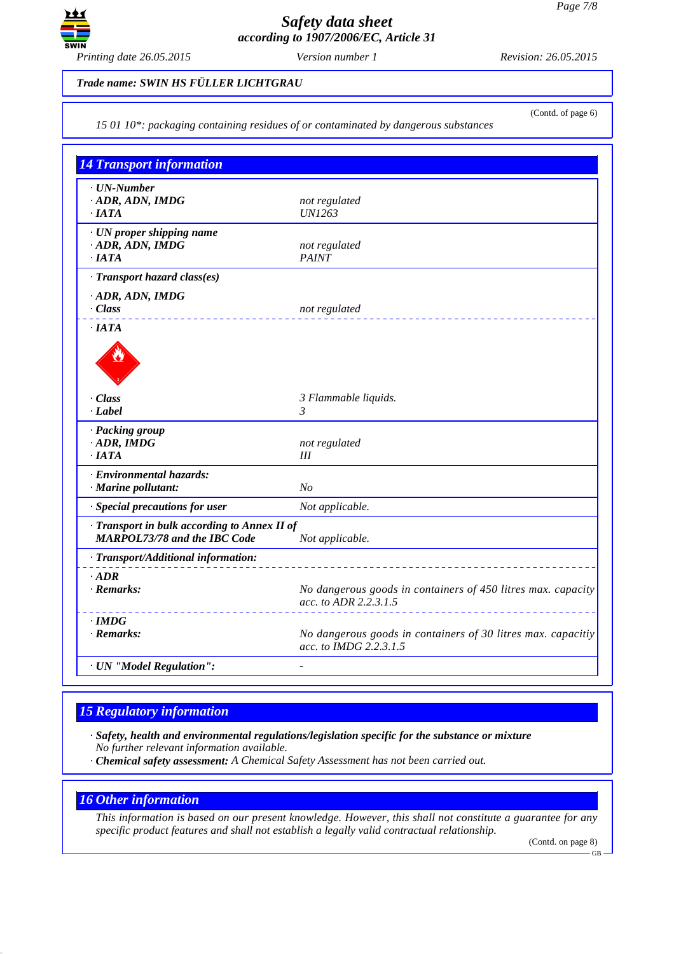

(Contd. of page 6)

#### *Trade name: SWIN HS FÜLLER LICHTGRAU*

*15 01 10\*: packaging containing residues of or contaminated by dangerous substances*

*14 Transport information · UN-Number · ADR, ADN, IMDG not regulated · IATA UN1263 · UN proper shipping name <i>·* ADR, ADN, IMDG *not regulated not regulated not regulated · IATA PAINT · Transport hazard class(es) · ADR, ADN, IMDG · Class not regulated · IATA* de la Carte de la Carte de la Carte de la Carte de la Carte de la Carte de la Carte de la Carte de la Carte de *· Class 3 Flammable liquids. · Label 3 · Packing group · ADR, IMDG not regulated · IATA III · Environmental hazards: · Marine pollutant: No · Special precautions for user Not applicable. · Transport in bulk according to Annex II of MARPOL73/78 and the IBC Code Not applicable. · Transport/Additional information: · ADR*<br>*· Remarks: No dangerous goods in containers of 450 litres max. capacity acc. to ADR 2.2.3.1.5 · IMDG · Remarks: No dangerous goods in containers of 30 litres max. capacitiy acc. to IMDG 2.2.3.1.5 · UN "Model Regulation": -* 

## *15 Regulatory information*

*· Safety, health and environmental regulations/legislation specific for the substance or mixture No further relevant information available.*

*· Chemical safety assessment: A Chemical Safety Assessment has not been carried out.*

## *16 Other information*

*This information is based on our present knowledge. However, this shall not constitute a guarantee for any specific product features and shall not establish a legally valid contractual relationship.*

(Contd. on page 8)

GB